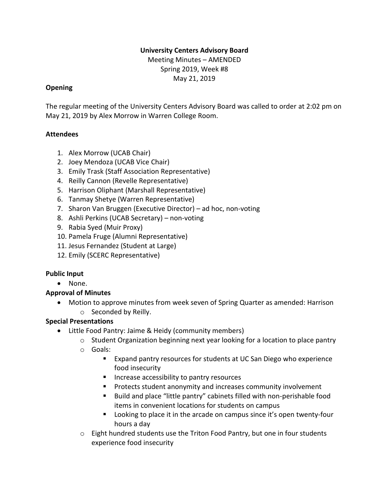### **University Centers Advisory Board**

Meeting Minutes – AMENDED Spring 2019, Week #8 May 21, 2019

#### **Opening**

The regular meeting of the University Centers Advisory Board was called to order at 2:02 pm on May 21, 2019 by Alex Morrow in Warren College Room.

### **Attendees**

- 1. Alex Morrow (UCAB Chair)
- 2. Joey Mendoza (UCAB Vice Chair)
- 3. Emily Trask (Staff Association Representative)
- 4. Reilly Cannon (Revelle Representative)
- 5. Harrison Oliphant (Marshall Representative)
- 6. Tanmay Shetye (Warren Representative)
- 7. Sharon Van Bruggen (Executive Director) ad hoc, non-voting
- 8. Ashli Perkins (UCAB Secretary) non-voting
- 9. Rabia Syed (Muir Proxy)
- 10. Pamela Fruge (Alumni Representative)
- 11. Jesus Fernandez (Student at Large)
- 12. Emily (SCERC Representative)

### **Public Input**

• None.

### **Approval of Minutes**

• Motion to approve minutes from week seven of Spring Quarter as amended: Harrison o Seconded by Reilly.

### **Special Presentations**

- Little Food Pantry: Jaime & Heidy (community members)
	- o Student Organization beginning next year looking for a location to place pantry
	- o Goals:
		- Expand pantry resources for students at UC San Diego who experience food insecurity
		- Increase accessibility to pantry resources
		- Protects student anonymity and increases community involvement
		- Build and place "little pantry" cabinets filled with non-perishable food items in convenient locations for students on campus
		- Looking to place it in the arcade on campus since it's open twenty-four hours a day
	- $\circ$  Eight hundred students use the Triton Food Pantry, but one in four students experience food insecurity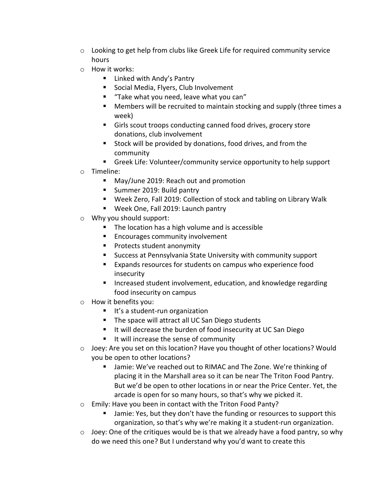- $\circ$  Looking to get help from clubs like Greek Life for required community service hours
- o How it works:
	- Linked with Andy's Pantry
	- Social Media, Flyers, Club Involvement
	- "Take what you need, leave what you can"
	- Members will be recruited to maintain stocking and supply (three times a week)
	- Girls scout troops conducting canned food drives, grocery store donations, club involvement
	- Stock will be provided by donations, food drives, and from the community
	- Greek Life: Volunteer/community service opportunity to help support
- o Timeline:
	- May/June 2019: Reach out and promotion
	- Summer 2019: Build pantry
	- Week Zero, Fall 2019: Collection of stock and tabling on Library Walk
	- Week One, Fall 2019: Launch pantry
- o Why you should support:
	- The location has a high volume and is accessible
	- Encourages community involvement
	- Protects student anonymity
	- Success at Pennsylvania State University with community support
	- Expands resources for students on campus who experience food insecurity
	- Increased student involvement, education, and knowledge regarding food insecurity on campus
- o How it benefits you:
	- It's a student-run organization
	- The space will attract all UC San Diego students
	- It will decrease the burden of food insecurity at UC San Diego
	- It will increase the sense of community
- $\circ$  Joey: Are you set on this location? Have you thought of other locations? Would you be open to other locations?
	- Jamie: We've reached out to RIMAC and The Zone. We're thinking of placing it in the Marshall area so it can be near The Triton Food Pantry. But we'd be open to other locations in or near the Price Center. Yet, the arcade is open for so many hours, so that's why we picked it.
- o Emily: Have you been in contact with the Triton Food Panty?
	- Jamie: Yes, but they don't have the funding or resources to support this organization, so that's why we're making it a student-run organization.
- $\circ$  Joey: One of the critiques would be is that we already have a food pantry, so why do we need this one? But I understand why you'd want to create this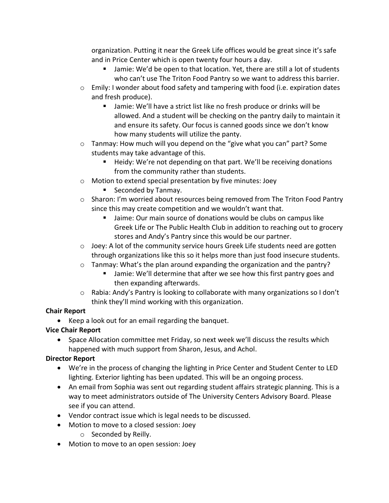organization. Putting it near the Greek Life offices would be great since it's safe and in Price Center which is open twenty four hours a day.

- Jamie: We'd be open to that location. Yet, there are still a lot of students who can't use The Triton Food Pantry so we want to address this barrier.
- o Emily: I wonder about food safety and tampering with food (i.e. expiration dates and fresh produce).
	- Jamie: We'll have a strict list like no fresh produce or drinks will be allowed. And a student will be checking on the pantry daily to maintain it and ensure its safety. Our focus is canned goods since we don't know how many students will utilize the panty.
- o Tanmay: How much will you depend on the "give what you can" part? Some students may take advantage of this.
	- Heidy: We're not depending on that part. We'll be receiving donations from the community rather than students.
- o Motion to extend special presentation by five minutes: Joey
	- Seconded by Tanmay.
- $\circ$  Sharon: I'm worried about resources being removed from The Triton Food Pantry since this may create competition and we wouldn't want that.
	- Jaime: Our main source of donations would be clubs on campus like Greek Life or The Public Health Club in addition to reaching out to grocery stores and Andy's Pantry since this would be our partner.
- $\circ$  Joey: A lot of the community service hours Greek Life students need are gotten through organizations like this so it helps more than just food insecure students.
- $\circ$  Tanmay: What's the plan around expanding the organization and the pantry?
	- Jamie: We'll determine that after we see how this first pantry goes and then expanding afterwards.
- $\circ$  Rabia: Andy's Pantry is looking to collaborate with many organizations so I don't think they'll mind working with this organization.

### **Chair Report**

• Keep a look out for an email regarding the banquet.

# **Vice Chair Report**

• Space Allocation committee met Friday, so next week we'll discuss the results which happened with much support from Sharon, Jesus, and Achol.

# **Director Report**

- We're in the process of changing the lighting in Price Center and Student Center to LED lighting. Exterior lighting has been updated. This will be an ongoing process.
- An email from Sophia was sent out regarding student affairs strategic planning. This is a way to meet administrators outside of The University Centers Advisory Board. Please see if you can attend.
- Vendor contract issue which is legal needs to be discussed.
- Motion to move to a closed session: Joey
	- o Seconded by Reilly.
- Motion to move to an open session: Joey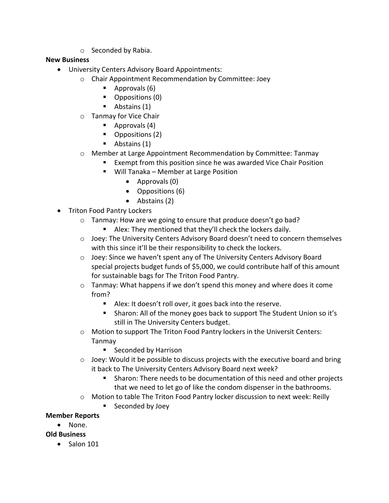o Seconded by Rabia.

### **New Business**

- University Centers Advisory Board Appointments:
	- o Chair Appointment Recommendation by Committee: Joey
		- $\blacksquare$  Approvals (6)
		- Oppositions (0)
		- Abstains (1)
	- o Tanmay for Vice Chair
		- Approvals (4)
		- Oppositions (2)
		- Abstains (1)
	- o Member at Large Appointment Recommendation by Committee: Tanmay
		- Exempt from this position since he was awarded Vice Chair Position
		- Will Tanaka Member at Large Position
			- Approvals (0)
			- Oppositions (6)
			- Abstains (2)
- Triton Food Pantry Lockers
	- o Tanmay: How are we going to ensure that produce doesn't go bad?
		- Alex: They mentioned that they'll check the lockers daily.
	- $\circ$  Joey: The University Centers Advisory Board doesn't need to concern themselves with this since it'll be their responsibility to check the lockers.
	- o Joey: Since we haven't spent any of The University Centers Advisory Board special projects budget funds of \$5,000, we could contribute half of this amount for sustainable bags for The Triton Food Pantry.
	- $\circ$  Tanmay: What happens if we don't spend this money and where does it come from?
		- Alex: It doesn't roll over, it goes back into the reserve.
		- Sharon: All of the money goes back to support The Student Union so it's still in The University Centers budget.
	- o Motion to support The Triton Food Pantry lockers in the Universit Centers: Tanmay
		- Seconded by Harrison
	- o Joey: Would it be possible to discuss projects with the executive board and bring it back to The University Centers Advisory Board next week?
		- Sharon: There needs to be documentation of this need and other projects that we need to let go of like the condom dispenser in the bathrooms.
	- o Motion to table The Triton Food Pantry locker discussion to next week: Reilly
		- Seconded by Joey

### **Member Reports**

• None.

### **Old Business**

• Salon 101